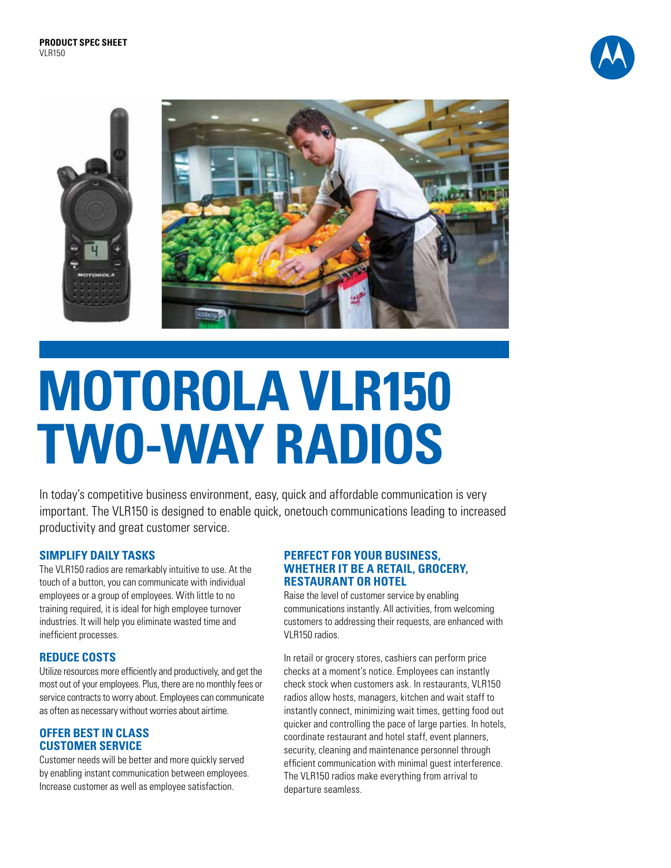





# **MOTOROLA VLR150 TWO-WAY RADIOS**

In today's competitive business environment, easy, quick and affordable communication is very important. The VLR150 is designed to enable quick, onetouch communications leading to increased productivity and great customer service.

# **SIMPLIFY DAILY TASKS**

The VLR150 radios are remarkably intuitive to use. At the touch of a button, you can communicate with individual employees or a group of employees. With little to no training required, it is ideal for high employee turnover industries. It will help you eliminate wasted time and inefficient processes.

# **REDUCE COSTS**

Utilize resources more efficiently and productively, and get the most out of your employees. Plus, there are no monthly fees or service contracts to worry about. Employees can communicate as often as necessary without worries about airtime.

### **OFFER BEST IN CLASS CUSTOMER SERVICE**

Customer needs will be better and more quickly served by enabling instant communication between employees. Increase customer as well as employee satisfaction.

### **PERFECT FOR YOUR BUSINESS, WHETHER IT BE A RETAIL, GROCERY, RESTAURANT OR HOTEL**

Raise the level of customer service by enabling communications instantly. All activities, from welcoming customers to addressing their requests, are enhanced with VLR150 radios.

In retail or grocery stores, cashiers can perform price checks at a moment's notice. Employees can instantly check stock when customers ask. In restaurants, VLR150 radios allow hosts, managers, kitchen and wait staff to instantly connect, minimizing wait times, getting food out quicker and controlling the pace of large parties. In hotels, coordinate restaurant and hotel staff, event planners, security, cleaning and maintenance personnel through efficient communication with minimal guest interference. The VLR150 radios make everything from arrival to departure seamless.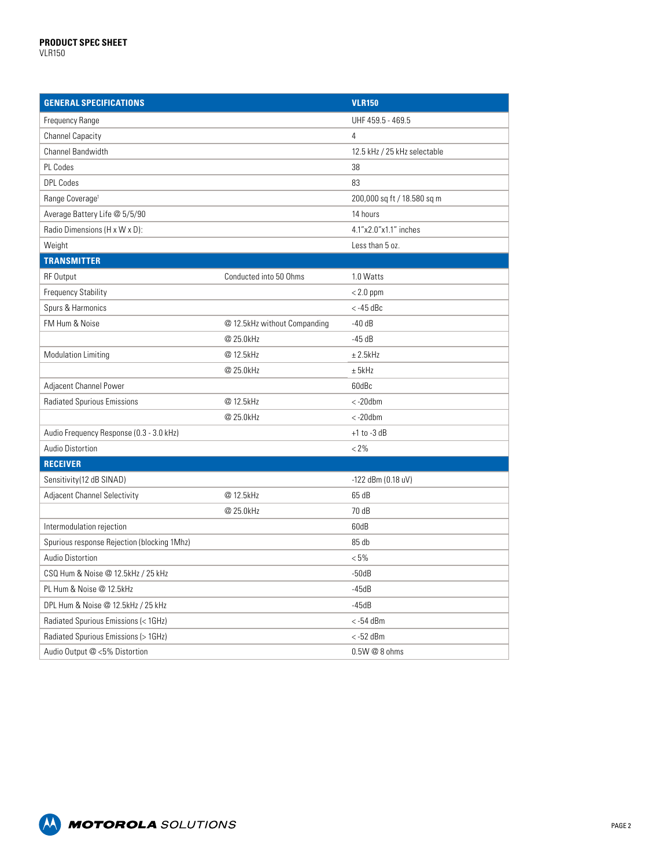| <b>GENERAL SPECIFICATIONS</b>               |                              | <b>VLR150</b>                |
|---------------------------------------------|------------------------------|------------------------------|
| Frequency Range                             |                              | UHF 459.5 - 469.5            |
| <b>Channel Capacity</b>                     |                              | $\overline{4}$               |
| Channel Bandwidth                           |                              | 12.5 kHz / 25 kHz selectable |
| PL Codes                                    |                              | 38                           |
| <b>DPL Codes</b>                            |                              | 83                           |
| Range Coverage <sup>1</sup>                 |                              | 200,000 sq ft / 18.580 sq m  |
| Average Battery Life @ 5/5/90               |                              | 14 hours                     |
| Radio Dimensions (H x W x D):               |                              | 4.1"x2.0"x1.1" inches        |
| Weight                                      |                              | Less than 5 oz.              |
| <b>TRANSMITTER</b>                          |                              |                              |
| <b>RF Output</b>                            | Conducted into 50 Ohms       | 1.0 Watts                    |
| <b>Frequency Stability</b>                  |                              | $< 2.0$ ppm                  |
| Spurs & Harmonics                           |                              | $<$ -45 dBc                  |
| FM Hum & Noise                              | @ 12.5kHz without Companding | $-40dB$                      |
|                                             | @ 25.0kHz                    | $-45dB$                      |
| <b>Modulation Limiting</b>                  | @ 12.5kHz                    | ± 2.5kHz                     |
|                                             | @ 25.0kHz                    | ± 5kHz                       |
| Adjacent Channel Power                      |                              | 60dBc                        |
| <b>Radiated Spurious Emissions</b>          | @ 12.5kHz                    | $< -20$ dbm                  |
|                                             | @ 25.0kHz                    | $< -20$ dbm                  |
| Audio Frequency Response (0.3 - 3.0 kHz)    |                              | $+1$ to -3 dB                |
| Audio Distortion                            |                              | $< 2\%$                      |
| <b>RECEIVER</b>                             |                              |                              |
| Sensitivity(12 dB SINAD)                    |                              | $-122$ dBm (0.18 uV)         |
| Adjacent Channel Selectivity                | @ 12.5kHz                    | 65 dB                        |
|                                             | @ 25.0kHz                    | 70 dB                        |
| Intermodulation rejection                   |                              | 60dB                         |
| Spurious response Rejection (blocking 1Mhz) |                              | 85 db                        |
| Audio Distortion                            |                              | $< 5\%$                      |
| CSQ Hum & Noise @ 12.5kHz / 25 kHz          |                              | $-50dB$                      |
| PL Hum & Noise @ 12.5kHz                    |                              | $-45dB$                      |
| DPL Hum & Noise @ 12.5kHz / 25 kHz          |                              | $-45dB$                      |
| Radiated Spurious Emissions (< 1GHz)        |                              | $<$ -54 dBm                  |
| Radiated Spurious Emissions (> 1GHz)        |                              | $<$ -52 dBm                  |
| Audio Output @ <5% Distortion               |                              | $0.5W@8$ ohms                |